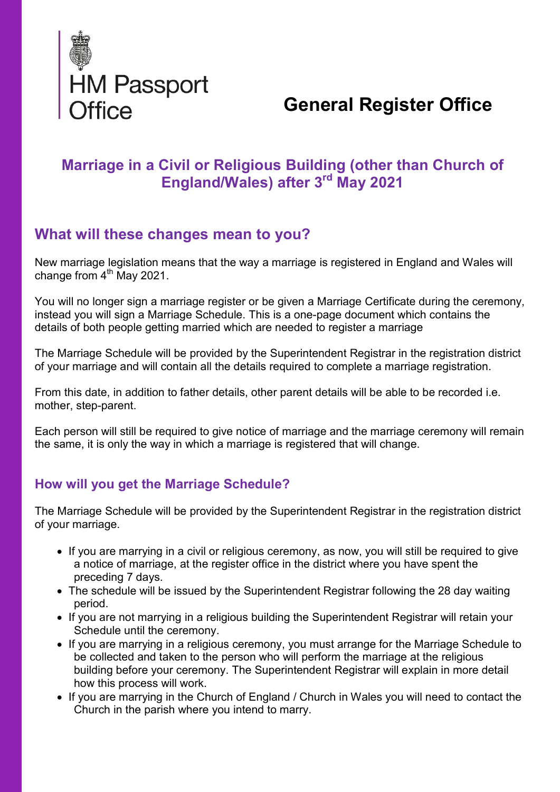

# General Register Office

# Marriage in a Civil or Religious Building (other than Church of England/Wales) after 3rd May 2021

# What will these changes mean to you?

New marriage legislation means that the way a marriage is registered in England and Wales will change from  $4<sup>th</sup>$  May 2021.

You will no longer sign a marriage register or be given a Marriage Certificate during the ceremony, instead you will sign a Marriage Schedule. This is a one-page document which contains the details of both people getting married which are needed to register a marriage

The Marriage Schedule will be provided by the Superintendent Registrar in the registration district of your marriage and will contain all the details required to complete a marriage registration.

From this date, in addition to father details, other parent details will be able to be recorded i.e. mother, step-parent.

Each person will still be required to give notice of marriage and the marriage ceremony will remain the same, it is only the way in which a marriage is registered that will change.

### How will you get the Marriage Schedule?

The Marriage Schedule will be provided by the Superintendent Registrar in the registration district of your marriage.

- If you are marrying in a civil or religious ceremony, as now, you will still be required to give a notice of marriage, at the register office in the district where you have spent the preceding 7 days.
- The schedule will be issued by the Superintendent Registrar following the 28 day waiting period.
- If you are not marrying in a religious building the Superintendent Registrar will retain your Schedule until the ceremony.
- If you are marrying in a religious ceremony, you must arrange for the Marriage Schedule to be collected and taken to the person who will perform the marriage at the religious building before your ceremony. The Superintendent Registrar will explain in more detail how this process will work.
- If you are marrying in the Church of England / Church in Wales you will need to contact the Church in the parish where you intend to marry.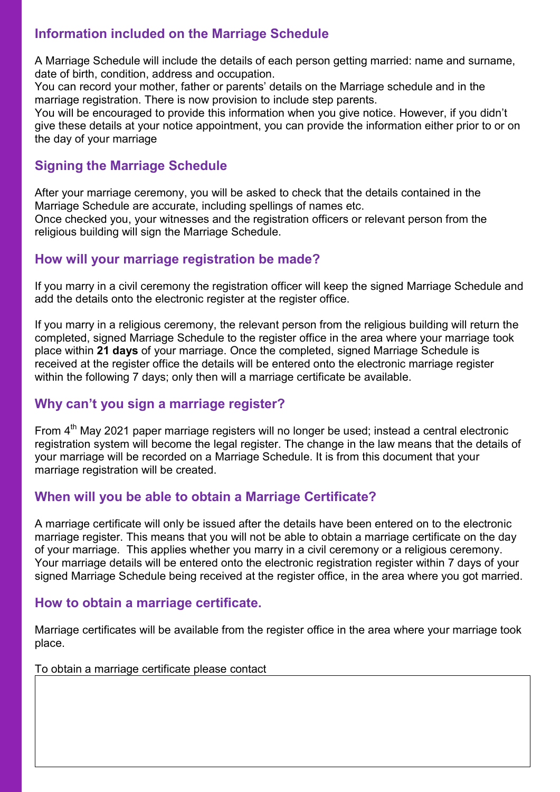# Information included on the Marriage Schedule

A Marriage Schedule will include the details of each person getting married: name and surname, date of birth, condition, address and occupation.

You can record your mother, father or parents' details on the Marriage schedule and in the marriage registration. There is now provision to include step parents.

You will be encouraged to provide this information when you give notice. However, if you didn't give these details at your notice appointment, you can provide the information either prior to or on the day of your marriage

## Signing the Marriage Schedule

After your marriage ceremony, you will be asked to check that the details contained in the Marriage Schedule are accurate, including spellings of names etc. Once checked you, your witnesses and the registration officers or relevant person from the religious building will sign the Marriage Schedule.

## How will your marriage registration be made?

If you marry in a civil ceremony the registration officer will keep the signed Marriage Schedule and add the details onto the electronic register at the register office.

If you marry in a religious ceremony, the relevant person from the religious building will return the completed, signed Marriage Schedule to the register office in the area where your marriage took place within 21 days of your marriage. Once the completed, signed Marriage Schedule is received at the register office the details will be entered onto the electronic marriage register within the following 7 days; only then will a marriage certificate be available.

### Why can't you sign a marriage register?

From  $4<sup>th</sup>$  May 2021 paper marriage registers will no longer be used; instead a central electronic registration system will become the legal register. The change in the law means that the details of your marriage will be recorded on a Marriage Schedule. It is from this document that your marriage registration will be created.

### When will you be able to obtain a Marriage Certificate?

A marriage certificate will only be issued after the details have been entered on to the electronic marriage register. This means that you will not be able to obtain a marriage certificate on the day of your marriage. This applies whether you marry in a civil ceremony or a religious ceremony. Your marriage details will be entered onto the electronic registration register within 7 days of your signed Marriage Schedule being received at the register office, in the area where you got married.

### How to obtain a marriage certificate.

Marriage certificates will be available from the register office in the area where your marriage took place.

To obtain a marriage certificate please contact